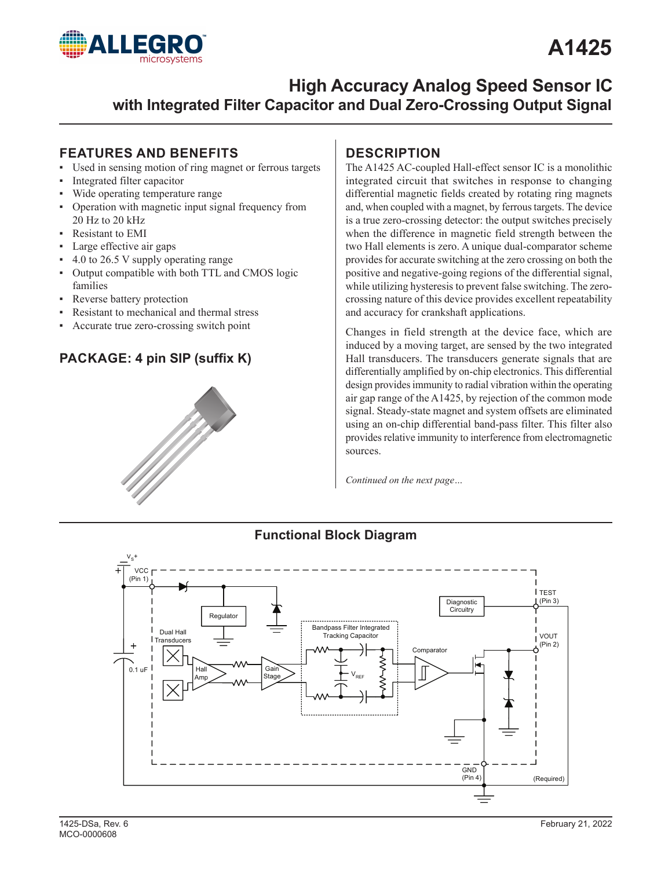

### **A1425**

### **High Accuracy Analog Speed Sensor IC with Integrated Filter Capacitor and Dual Zero-Crossing Output Signal**

### **FEATURES AND BENEFITS**

- ▪ Used in sensing motion of ring magnet or ferrous targets
- Integrated filter capacitor
- Wide operating temperature range
- Operation with magnetic input signal frequency from 20 Hz to 20 kHz
- **Resistant to EMI**
- Large effective air gaps
- $4.0$  to 26.5 V supply operating range
- Output compatible with both TTL and CMOS logic families
- Reverse battery protection

 $V_{S}^+$ 

- Resistant to mechanical and thermal stress
- Accurate true zero-crossing switch point

### **PACKAGE: 4 pin SIP (suffix K)**



### **DESCRIPTION**

The A1425 AC-coupled Hall-effect sensor IC is a monolithic integrated circuit that switches in response to changing differential magnetic fields created by rotating ring magnets and, when coupled with a magnet, by ferrous targets. The device is a true zero-crossing detector: the output switches precisely when the difference in magnetic field strength between the two Hall elements is zero. A unique dual-comparator scheme provides for accurate switching at the zero crossing on both the positive and negative-going regions of the differential signal, while utilizing hysteresis to prevent false switching. The zerocrossing nature of this device provides excellent repeatability and accuracy for crankshaft applications.

Changes in field strength at the device face, which are induced by a moving target, are sensed by the two integrated Hall transducers. The transducers generate signals that are differentially amplified by on-chip electronics. This differential design provides immunity to radial vibration within the operating air gap range of the A1425, by rejection of the common mode signal. Steady-state magnet and system offsets are eliminated using an on-chip differential band-pass filter. This filter also provides relative immunity to interference from electromagnetic sources.

*Continued on the next page…*

**Functional Block Diagram**

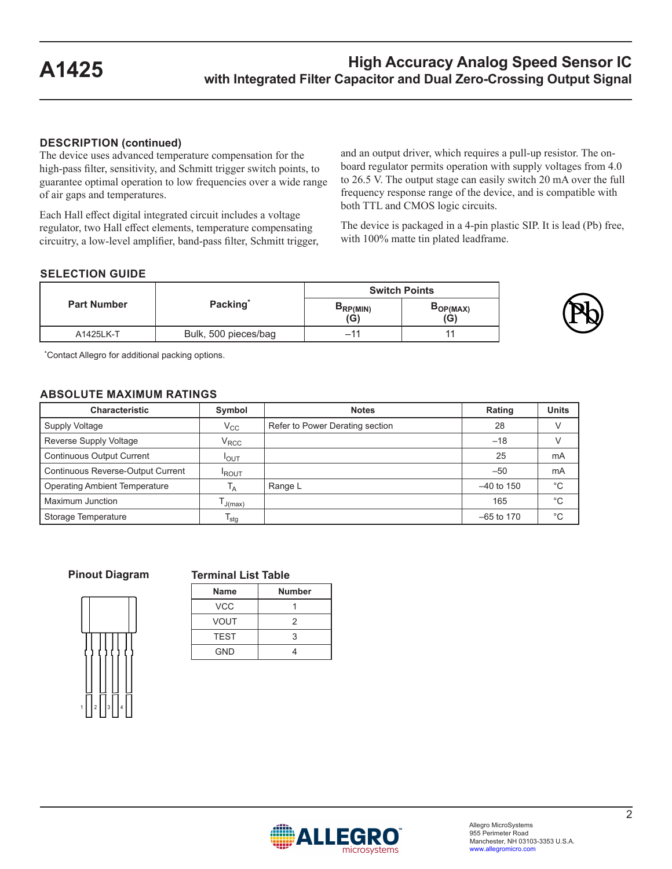### **DESCRIPTION (continued)**

The device uses advanced temperature compensation for the high-pass filter, sensitivity, and Schmitt trigger switch points, to guarantee optimal operation to low frequencies over a wide range of air gaps and temperatures.

Each Hall effect digital integrated circuit includes a voltage regulator, two Hall effect elements, temperature compensating circuitry, a low-level amplifier, band-pass filter, Schmitt trigger, and an output driver, which requires a pull-up resistor. The onboard regulator permits operation with supply voltages from 4.0 to 26.5 V. The output stage can easily switch 20 mA over the full frequency response range of the device, and is compatible with both TTL and CMOS logic circuits.

The device is packaged in a 4-pin plastic SIP. It is lead (Pb) free, with 100% matte tin plated leadframe.

### **SELECTION GUIDE**

|                    |                      | <b>Switch Points</b> |                 |  |
|--------------------|----------------------|----------------------|-----------------|--|
| <b>Part Number</b> | Packing*             | PRP(MIN)<br>(G)      | DOP(MAX)<br>(G) |  |
| A1425LK-T          | Bulk, 500 pieces/bag | -11                  |                 |  |



\*Contact Allegro for additional packing options.

#### **ABSOLUTE MAXIMUM RATINGS**

| <b>Characteristic</b>                    | Symbol            | <b>Notes</b>                    | Rating       | <b>Units</b> |
|------------------------------------------|-------------------|---------------------------------|--------------|--------------|
| Supply Voltage                           | $\rm V_{CC}$      | Refer to Power Derating section | 28           |              |
| Reverse Supply Voltage                   | $\rm V_{\rm RCC}$ |                                 | $-18$        |              |
| <b>Continuous Output Current</b>         | <b>I</b> OUT      |                                 | 25           | mA           |
| <b>Continuous Reverse-Output Current</b> | <b>ROUT</b>       |                                 | $-50$        | mA           |
| <b>Operating Ambient Temperature</b>     | ۱A                | Range L                         | $-40$ to 150 | $^{\circ}C$  |
| Maximum Junction                         | J(max)            |                                 | 165          | $^{\circ}C$  |
| Storage Temperature                      | l <sub>stg</sub>  |                                 | $-65$ to 170 | $^{\circ}C$  |

**Pinout Diagram**

#### **Terminal List Table**

|   |                         | I |   | Г |  |
|---|-------------------------|---|---|---|--|
| 1 | $\overline{\mathbf{c}}$ | 3 | 4 |   |  |

| <b>Name</b> | <b>Number</b> |
|-------------|---------------|
| <b>VCC</b>  |               |
| VOUT        | 2             |
| <b>TEST</b> | 3             |
| <b>GND</b>  |               |

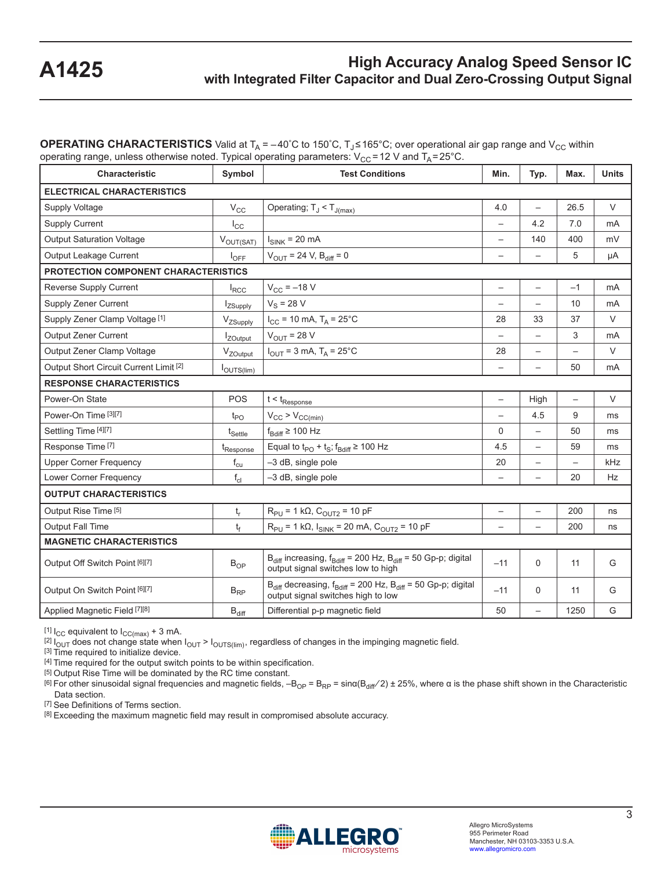**OPERATING CHARACTERISTICS** Valid at  $T_A = -40^\circ C$  to 150°C,  $T_J \le 165^\circ C$ ; over operational air gap range and V<sub>CC</sub> within operating range, unless otherwise noted. Typical operating parameters:  $V_{CC}$  = 12 V and  $T_A$  = 25°C.

| <b>Characteristic</b>                             | Symbol                     | <b>Test Conditions</b>                                                                                           | Min.                     | Typ.                     | Max.                     | <b>Units</b>   |
|---------------------------------------------------|----------------------------|------------------------------------------------------------------------------------------------------------------|--------------------------|--------------------------|--------------------------|----------------|
| <b>ELECTRICAL CHARACTERISTICS</b>                 |                            |                                                                                                                  |                          |                          |                          |                |
| Supply Voltage                                    | $V_{\rm CC}$               | Operating; $T_J < T_{J(max)}$                                                                                    | 4.0                      | $\overline{\phantom{0}}$ | 26.5                     | V              |
| <b>Supply Current</b>                             | $I_{\rm CC}$               |                                                                                                                  | $\overline{\phantom{0}}$ | 4.2                      | 7.0                      | mA             |
| <b>Output Saturation Voltage</b>                  | $V_{OUT(SAT)}$             | $I_{SINK}$ = 20 mA                                                                                               | $\overline{\phantom{m}}$ | 140                      | 400                      | mV             |
| Output Leakage Current                            | $I_{\text{OFF}}$           | $V_{\text{OUT}} = 24 \text{ V}, B_{\text{diff}} = 0$                                                             | $\overline{\phantom{0}}$ | $\overline{\phantom{0}}$ | 5                        | μA             |
| PROTECTION COMPONENT CHARACTERISTICS              |                            |                                                                                                                  |                          |                          |                          |                |
| Reverse Supply Current                            | $I_{\text{RCC}}$           | $V_{CC} = -18 V$                                                                                                 | $\qquad \qquad -$        | $\overline{\phantom{0}}$ | $-1$                     | m <sub>A</sub> |
| <b>Supply Zener Current</b>                       | IzSupply                   | $V_S = 28 V$                                                                                                     | $\overline{\phantom{0}}$ |                          | 10                       | mA             |
| Supply Zener Clamp Voltage [1]                    | VzSupply                   | $I_{CC}$ = 10 mA, $T_A$ = 25°C                                                                                   | 28                       | 33                       | 37                       | $\vee$         |
| <b>Output Zener Current</b>                       | <i>Z</i> Output            | $V_{\text{OUT}}$ = 28 V                                                                                          | $\overline{\phantom{0}}$ | $\overline{\phantom{0}}$ | 3                        | mA             |
| Output Zener Clamp Voltage                        | V <sub>ZOutput</sub>       | $I_{\text{OUT}} = 3 \text{ mA}, T_A = 25^{\circ} \text{C}$                                                       | 28                       |                          |                          | $\vee$         |
| Output Short Circuit Current Limit <sup>[2]</sup> | l <sub>OUTS(lim)</sub>     |                                                                                                                  | $\overline{a}$           | $\overline{\phantom{0}}$ | 50                       | mA             |
| <b>RESPONSE CHARACTERISTICS</b>                   |                            |                                                                                                                  |                          |                          |                          |                |
| Power-On State                                    | POS                        | $t < t_{\sf Response}$                                                                                           | $\overline{\phantom{m}}$ | High                     | $\overline{\phantom{0}}$ | $\vee$         |
| Power-On Time [3][7]                              | $t_{PO}$                   | $V_{CC}$ > $V_{CC(min)}$                                                                                         | $\overline{\phantom{m}}$ | 4.5                      | 9                        | ms             |
| Settling Time [4][7]                              | $t_{\sf Settle}$           | $f_{Bdiff} \ge 100$ Hz                                                                                           | $\mathbf 0$              |                          | 50                       | ms             |
| Response Time <sup>[7]</sup>                      | t <sub>Response</sub>      | Equal to $t_{PO} + t_S$ ; $f_{Bdiff} \ge 100$ Hz                                                                 | 4.5                      | $\overline{\phantom{0}}$ | 59                       | ms             |
| <b>Upper Corner Frequency</b>                     | $f_{\rm cu}$               | -3 dB, single pole                                                                                               | 20                       | $\qquad \qquad -$        | $\overline{\phantom{0}}$ | kHz            |
| Lower Corner Frequency                            | $f_{cl}$                   | -3 dB, single pole                                                                                               | $\overline{\phantom{0}}$ | $\overline{\phantom{0}}$ | 20                       | Hz             |
| <b>OUTPUT CHARACTERISTICS</b>                     |                            |                                                                                                                  |                          |                          |                          |                |
| Output Rise Time [5]                              | $t_r$                      | $R_{PU}$ = 1 k $\Omega$ , $C_{OUT2}$ = 10 pF                                                                     | $\overline{\phantom{0}}$ | $\overline{\phantom{0}}$ | 200                      | ns             |
| <b>Output Fall Time</b>                           | $t_f$                      | $R_{PU}$ = 1 kΩ, $I_{SINK}$ = 20 mA, C <sub>OUT2</sub> = 10 pF                                                   | $\overline{\phantom{0}}$ | $\overline{\phantom{0}}$ | 200                      | ns             |
| <b>MAGNETIC CHARACTERISTICS</b>                   |                            |                                                                                                                  |                          |                          |                          |                |
| Output Off Switch Point [6][7]                    | $\mathsf{B}_{\mathsf{OP}}$ | $B_{diff}$ increasing, $f_{Bdiff}$ = 200 Hz, $B_{diff}$ = 50 Gp-p; digital<br>output signal switches low to high | $-11$                    | 0                        | 11                       | G              |
| Output On Switch Point [6][7]                     | $B_{RP}$                   | $B_{diff}$ decreasing, $f_{Bdiff}$ = 200 Hz, $B_{diff}$ = 50 Gp-p; digital<br>output signal switches high to low | $-11$                    | 0                        | 11                       | G              |
| Applied Magnetic Field [7][8]                     | $B_{diff}$                 | Differential p-p magnetic field                                                                                  | 50                       | $\overline{\phantom{0}}$ | 1250                     | G              |

 $[1]$  I<sub>CC</sub> equivalent to  $I_{CC(max)}$  + 3 mA.

 $^{[2]}$  I<sub>OUT</sub> does not change state when I<sub>OUT</sub> > I<sub>OUTS(lim)</sub>, regardless of changes in the impinging magnetic field.

[3] Time required to initialize device.

[4] Time required for the output switch points to be within specification.

[5] Output Rise Time will be dominated by the RC time constant.

<sup>[6]</sup> For other sinusoidal signal frequencies and magnetic fields,  $-B_{OP} = B_{RP} = \sin\alpha(B_{diff}/2) \pm 25%$ , where α is the phase shift shown in the Characteristic Data section.

[7] See Definitions of Terms section.

 $[8]$  Exceeding the maximum magnetic field may result in compromised absolute accuracy.

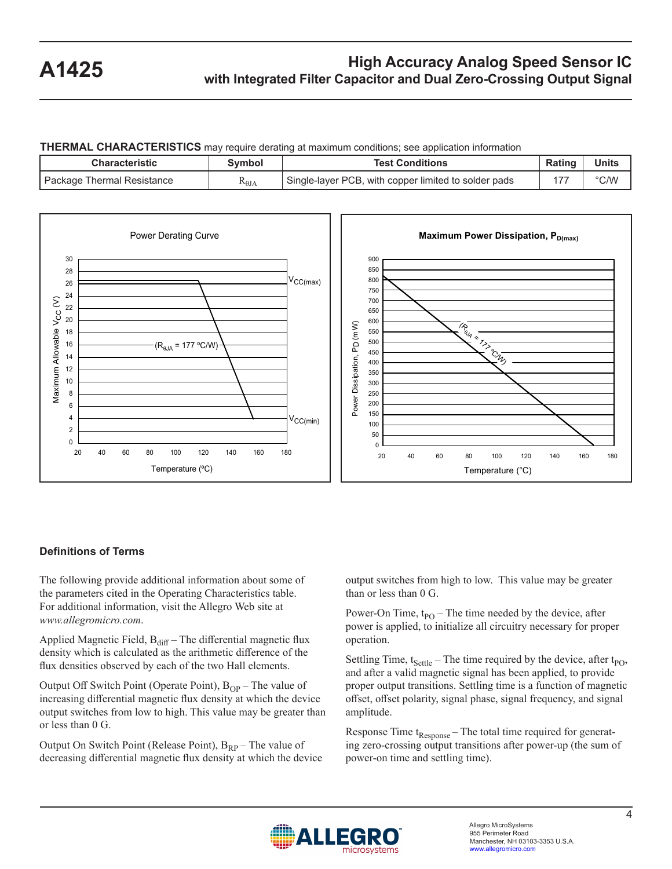**THERMAL CHARACTERISTICS** may require derating at maximum conditions; see application information

| Characteristic               | Symbol          | Test Conditions                                      | Rating | <b>Units</b> |
|------------------------------|-----------------|------------------------------------------------------|--------|--------------|
| I Package Thermal Resistance | $R_{\theta JA}$ | Single-layer PCB, with copper limited to solder pads |        | °C/W         |



### **Definitions of Terms**

The following provide additional information about some of the parameters cited in the Operating Characteristics table. For additional information, visit the Allegro Web site at *www.allegromicro.com*.

Applied Magnetic Field,  $B_{\text{diff}}$  – The differential magnetic flux density which is calculated as the arithmetic difference of the flux densities observed by each of the two Hall elements.

Output Off Switch Point (Operate Point),  $B_{OP}$  – The value of increasing differential magnetic flux density at which the device output switches from low to high. This value may be greater than or less than 0 G.

Output On Switch Point (Release Point),  $B_{RP}$  – The value of decreasing differential magnetic flux density at which the device output switches from high to low. This value may be greater than or less than 0 G.

Power-On Time,  $t_{PO}$  – The time needed by the device, after power is applied, to initialize all circuitry necessary for proper operation.

Settling Time,  $t_{\text{Settle}}$  – The time required by the device, after  $t_{\text{PO}}$ , and after a valid magnetic signal has been applied, to provide proper output transitions. Settling time is a function of magnetic offset, offset polarity, signal phase, signal frequency, and signal amplitude.

Response Time  $t_{\text{Response}}$  – The total time required for generating zero-crossing output transitions after power-up (the sum of power-on time and settling time).

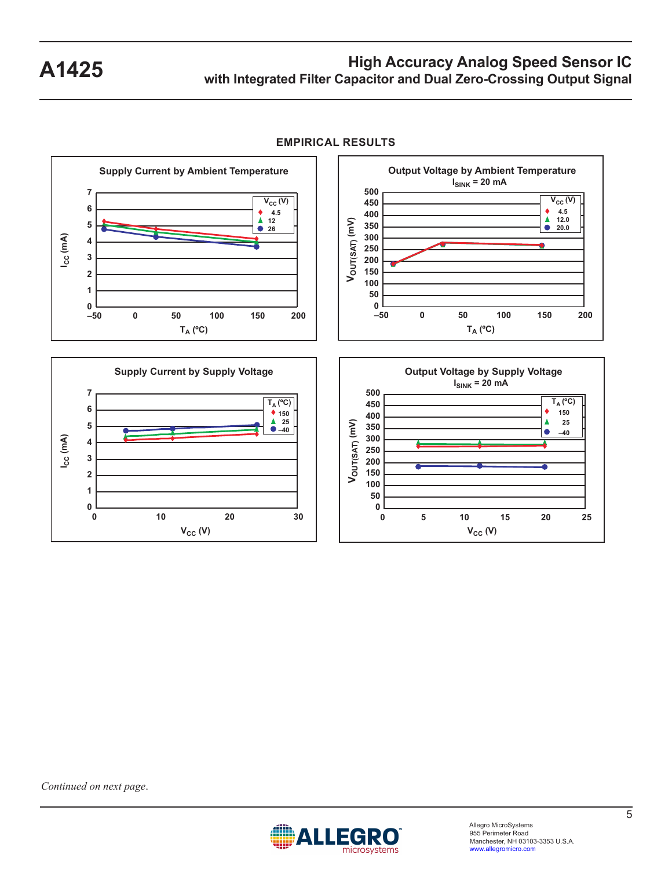

**EMPIRICAL RESULTS**

*Continued on next page*.

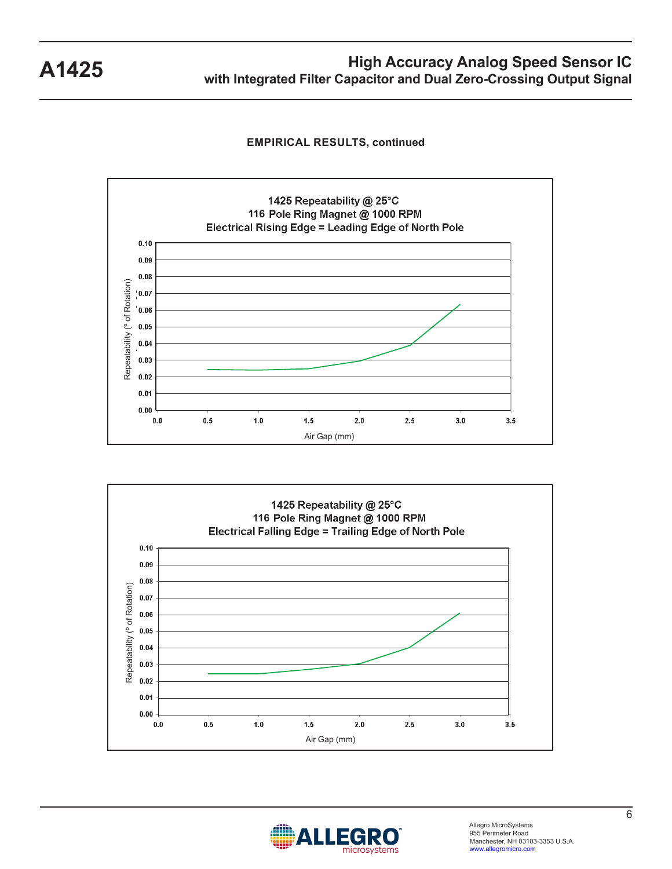**EMPIRICAL RESULTS, continued**







Allegro MicroSystems 955 Perimeter Road Manchester, NH 03103-3353 U.S.A. www.allegromicro.com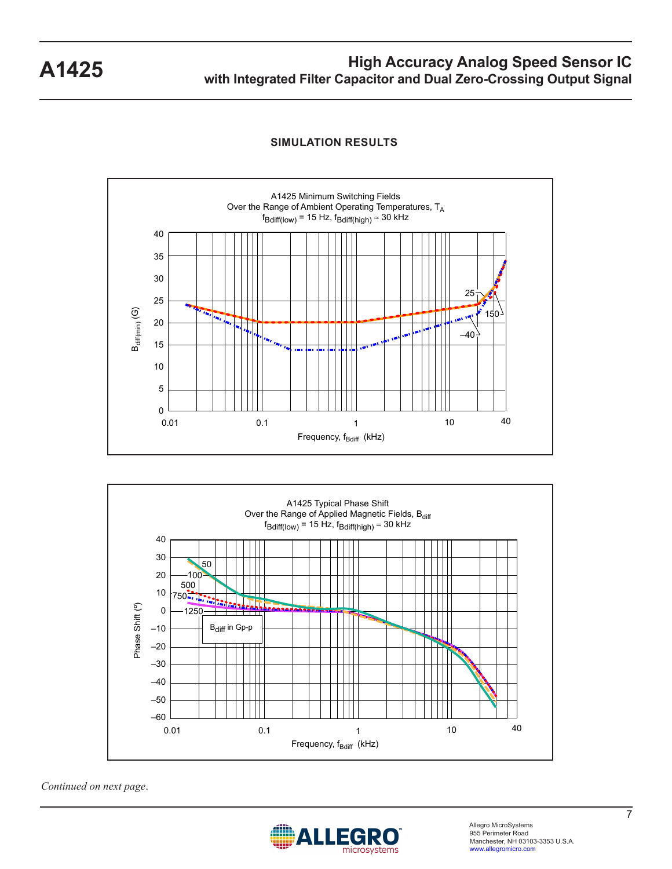

### **SIMULATION RESULTS**



*Continued on next page*.

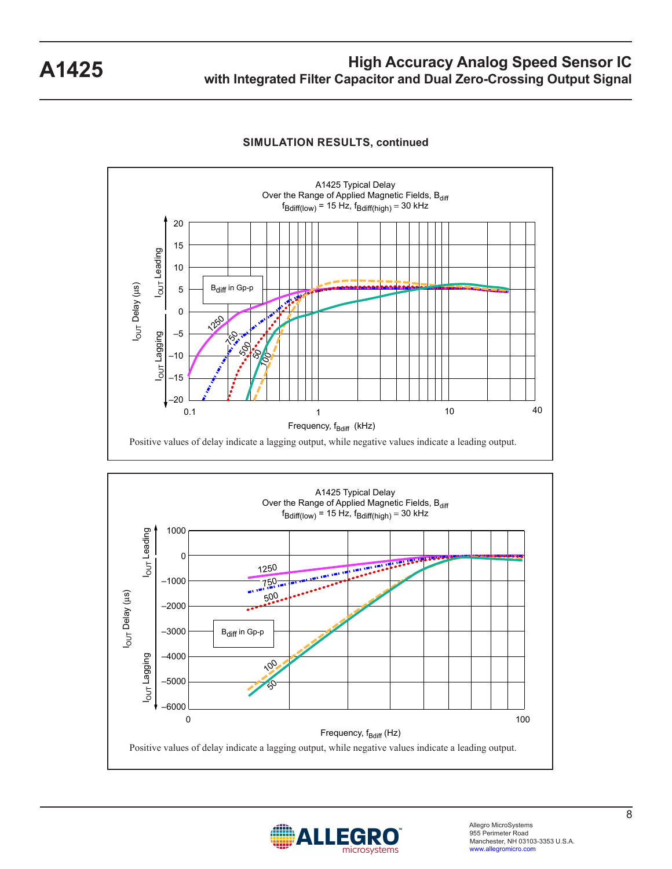

#### **SIMULATION RESULTS, continued**



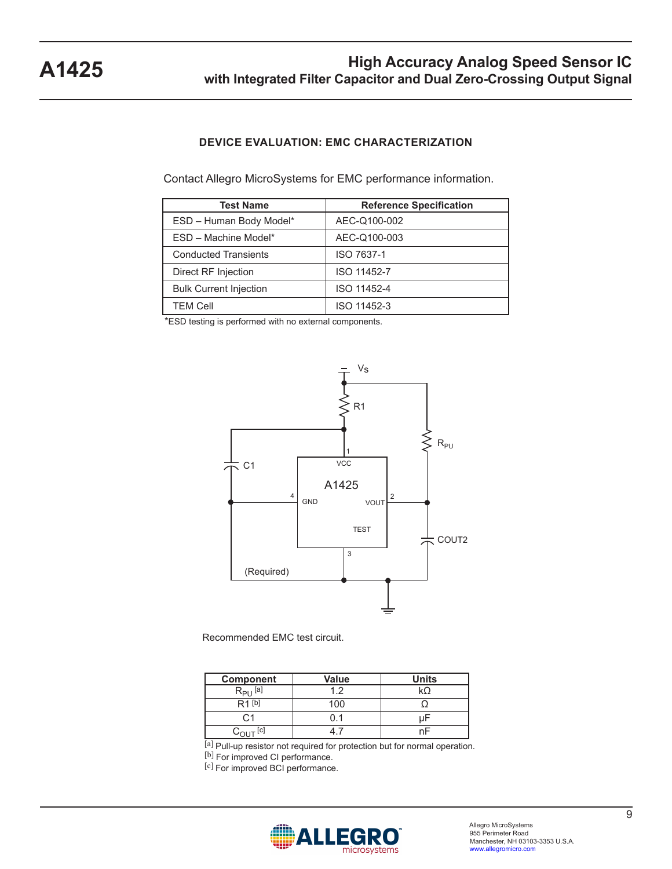### **DEVICE EVALUATION: EMC CHARACTERIZATION**

Contact Allegro MicroSystems for EMC performance information.

| <b>Test Name</b>              | <b>Reference Specification</b> |
|-------------------------------|--------------------------------|
| ESD - Human Body Model*       | AEC-Q100-002                   |
| ESD - Machine Model*          | AEC-Q100-003                   |
| <b>Conducted Transients</b>   | ISO 7637-1                     |
| Direct RF Injection           | ISO 11452-7                    |
| <b>Bulk Current Injection</b> | ISO 11452-4                    |
| <b>TEM Cell</b>               | ISO 11452-3                    |

\*ESD testing is performed with no external components.



Recommended EMC test circuit.

| <b>Component</b>  | <b>Value</b> | <b>Units</b> |
|-------------------|--------------|--------------|
| $R_{\rm{PI}}$ [a] | ィっ           |              |
| R1 <sup>[b]</sup> | 100          |              |
|                   |              |              |
| [c]               |              |              |

[a] Pull-up resistor not required for protection but for normal operation. [b] For improved CI performance.

[c] For improved BCI performance.

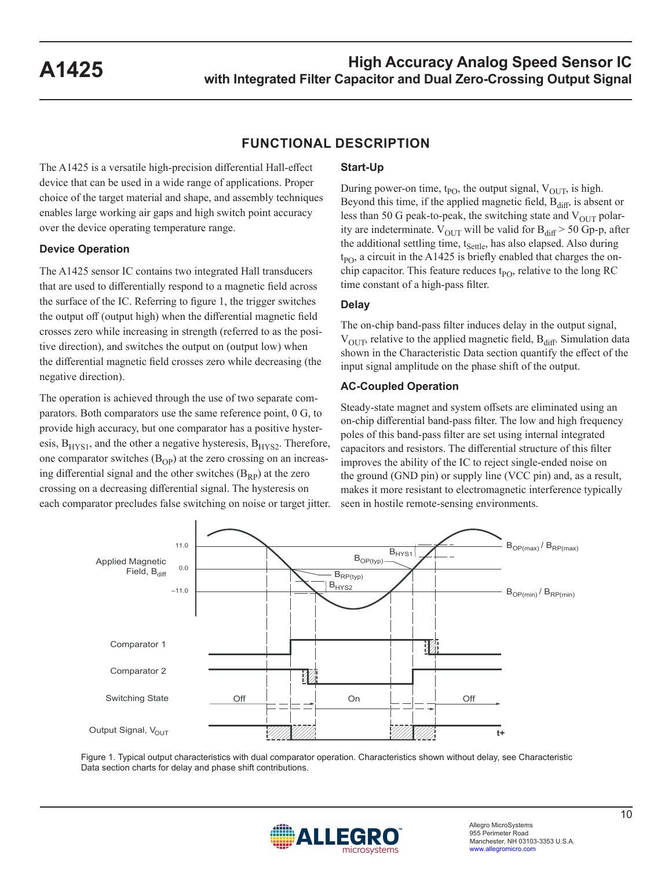### **FUNCTIONAL DESCRIPTION**

The A1425 is a versatile high-precision differential Hall-effect device that can be used in a wide range of applications. Proper choice of the target material and shape, and assembly techniques enables large working air gaps and high switch point accuracy over the device operating temperature range.

#### **Device Operation**

The A1425 sensor IC contains two integrated Hall transducers that are used to differentially respond to a magnetic field across the surface of the IC. Referring to figure 1, the trigger switches the output off (output high) when the differential magnetic field crosses zero while increasing in strength (referred to as the positive direction), and switches the output on (output low) when the differential magnetic field crosses zero while decreasing (the negative direction).

The operation is achieved through the use of two separate comparators. Both comparators use the same reference point, 0 G, to provide high accuracy, but one comparator has a positive hysteresis,  $B<sub>HYS1</sub>$ , and the other a negative hysteresis,  $B<sub>HYS2</sub>$ . Therefore, one comparator switches  $(B<sub>OP</sub>)$  at the zero crossing on an increasing differential signal and the other switches  $(B_{RP})$  at the zero crossing on a decreasing differential signal. The hysteresis on each comparator precludes false switching on noise or target jitter.

#### **Start-Up**

During power-on time,  $t_{PO}$ , the output signal,  $V_{OUT}$ , is high. Beyond this time, if the applied magnetic field,  $B_{diff}$ , is absent or less than 50 G peak-to-peak, the switching state and  $V_{OUT}$  polarity are indeterminate.  $V_{OUT}$  will be valid for  $B_{diff} > 50$  Gp-p, after the additional settling time, t<sub>Settle</sub>, has also elapsed. Also during  $t_{PO}$ , a circuit in the A1425 is briefly enabled that charges the onchip capacitor. This feature reduces  $t_{PO}$ , relative to the long RC time constant of a high-pass filter.

### **Delay**

The on-chip band-pass filter induces delay in the output signal,  $V<sub>OUT</sub>$ , relative to the applied magnetic field,  $B<sub>diff</sub>$ . Simulation data shown in the Characteristic Data section quantify the effect of the input signal amplitude on the phase shift of the output.

### **AC-Coupled Operation**

Steady-state magnet and system offsets are eliminated using an on-chip differential band-pass filter. The low and high frequency poles of this band-pass filter are set using internal integrated capacitors and resistors. The differential structure of this filter improves the ability of the IC to reject single-ended noise on the ground (GND pin) or supply line (VCC pin) and, as a result, makes it more resistant to electromagnetic interference typically seen in hostile remote-sensing environments.



Figure 1. Typical output characteristics with dual comparator operation. Characteristics shown without delay, see Characteristic Data section charts for delay and phase shift contributions.

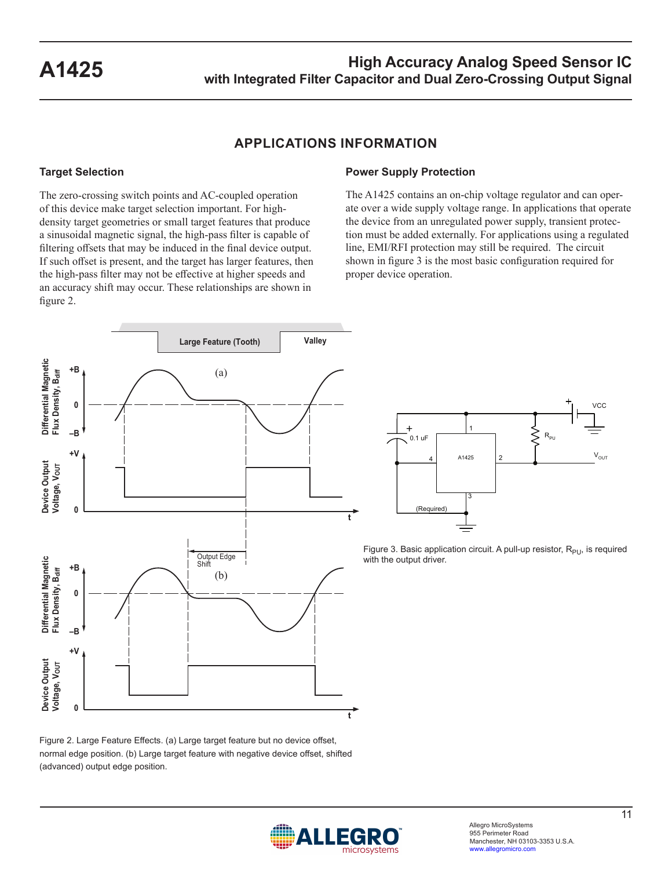### **APPLICATIONS INFORMATION**

### **Target Selection**

The zero-crossing switch points and AC-coupled operation of this device make target selection important. For highdensity target geometries or small target features that produce a sinusoidal magnetic signal, the high-pass filter is capable of filtering offsets that may be induced in the final device output. If such offset is present, and the target has larger features, then the high-pass filter may not be effective at higher speeds and an accuracy shift may occur. These relationships are shown in figure 2.

### **Power Supply Protection**

The A1425 contains an on-chip voltage regulator and can operate over a wide supply voltage range. In applications that operate the device from an unregulated power supply, transient protection must be added externally. For applications using a regulated line, EMI/RFI protection may still be required. The circuit shown in figure 3 is the most basic configuration required for proper device operation.





Figure 3. Basic application circuit. A pull-up resistor,  $R_{PU}$ , is required with the output driver.

Figure 2. Large Feature Effects. (a) Large target feature but no device offset, normal edge position. (b) Large target feature with negative device offset, shifted (advanced) output edge position.

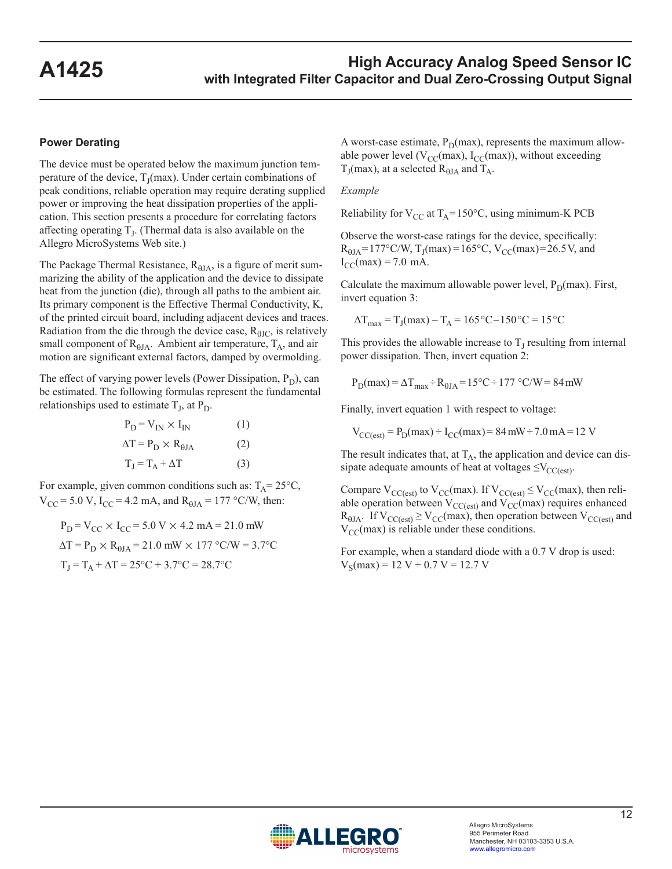#### **Power Derating**

The device must be operated below the maximum junction temperature of the device,  $T_I(max)$ . Under certain combinations of peak conditions, reliable operation may require derating supplied power or improving the heat dissipation properties of the application. This section presents a procedure for correlating factors affecting operating  $T<sub>I</sub>$ . (Thermal data is also available on the Allegro MicroSystems Web site.)

The Package Thermal Resistance,  $R_{0JA}$ , is a figure of merit summarizing the ability of the application and the device to dissipate heat from the junction (die), through all paths to the ambient air. Its primary component is the Effective Thermal Conductivity, K, of the printed circuit board, including adjacent devices and traces. Radiation from the die through the device case,  $R_{\theta JC}$ , is relatively small component of  $R_{0JA}$ . Ambient air temperature,  $T_A$ , and air motion are significant external factors, damped by overmolding.

The effect of varying power levels (Power Dissipation,  $P_D$ ), can be estimated. The following formulas represent the fundamental relationships used to estimate  $T_J$ , at  $P_D$ .

$$
P_{D} = V_{IN} \times I_{IN}
$$
\n
$$
\Delta T = P_{D} \times R_{0JA}
$$
\n
$$
T_{J} = T_{A} + \Delta T
$$
\n(3)

For example, given common conditions such as:  $T_A = 25^{\circ}C$ ,  $V_{CC}$  = 5.0 V, I<sub>CC</sub> = 4.2 mA, and R<sub> $\theta$ JA</sub> = 177 °C/W, then:

$$
P_D = V_{CC} \times I_{CC} = 5.0 V \times 4.2 mA = 21.0 mW
$$
  
\n
$$
\Delta T = P_D \times R_{0JA} = 21.0 mW \times 177 \text{ °C/W} = 3.7 \text{ °C}
$$
  
\n
$$
T_J = T_A + \Delta T = 25 \text{ °C} + 3.7 \text{ °C} = 28.7 \text{ °C}
$$

A worst-case estimate,  $P_D(max)$ , represents the maximum allowable power level ( $V_{CC}(max)$ ,  $I_{CC}(max)$ ), without exceeding  $T_J$ (max), at a selected  $R_{\theta JA}$  and  $T_A$ .

#### *Example*

Reliability for  $V_{CC}$  at  $T_A$ =150°C, using minimum-K PCB

Observe the worst-case ratings for the device, specifically:  $R_{\text{HJA}} = 177 \text{°C/W}, T_{\text{J}}(\text{max}) = 165 \text{°C}, V_{\text{CC}}(\text{max}) = 26.5 \text{ V}, \text{and}$  $I_{CC}(max) = 7.0$  mA.

Calculate the maximum allowable power level,  $P_D(max)$ . First, invert equation 3:

$$
\Delta T_{max} = T_J(max) - T_A = 165 \,^{\circ}\text{C} - 150 \,^{\circ}\text{C} = 15 \,^{\circ}\text{C}
$$

This provides the allowable increase to  $T<sub>J</sub>$  resulting from internal power dissipation. Then, invert equation 2:

$$
P_D(max) = \Delta T_{max} \div R_{0JA} = 15^{\circ}C \div 177^{\circ}C/W = 84 \, \text{mW}
$$

Finally, invert equation 1 with respect to voltage:

 $V_{\text{CC}(\text{est})} = P_{\text{D}}(\text{max}) = I_{\text{CC}}(\text{max}) = 84 \text{ mW} \div 7.0 \text{ mA} = 12 \text{ V}$ 

The result indicates that, at  $T_A$ , the application and device can dissipate adequate amounts of heat at voltages  $\leq$ V<sub>CC(est)</sub>.

Compare  $V_{CC(est)}$  to  $V_{CC}(max)$ . If  $V_{CC(est)} \leq V_{CC}(max)$ , then reliable operation between  $V_{CC(est)}$  and  $V_{CC}(max)$  requires enhanced  $R_{\theta JA}$ . If  $V_{CC(est)} \ge V_{CC}(max)$ , then operation between  $V_{CC(est)}$  and  $V_{\text{CC}}$ (max) is reliable under these conditions.

For example, when a standard diode with a 0.7 V drop is used:  $V_S(max) = 12 V + 0.7 V = 12.7 V$ 

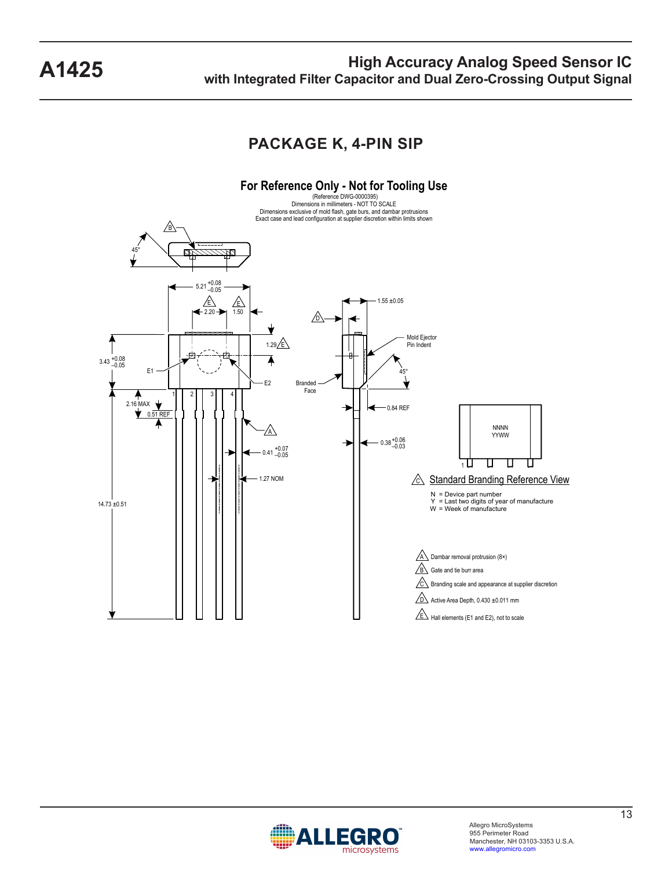### **PACKAGE K, 4-PIN SIP**